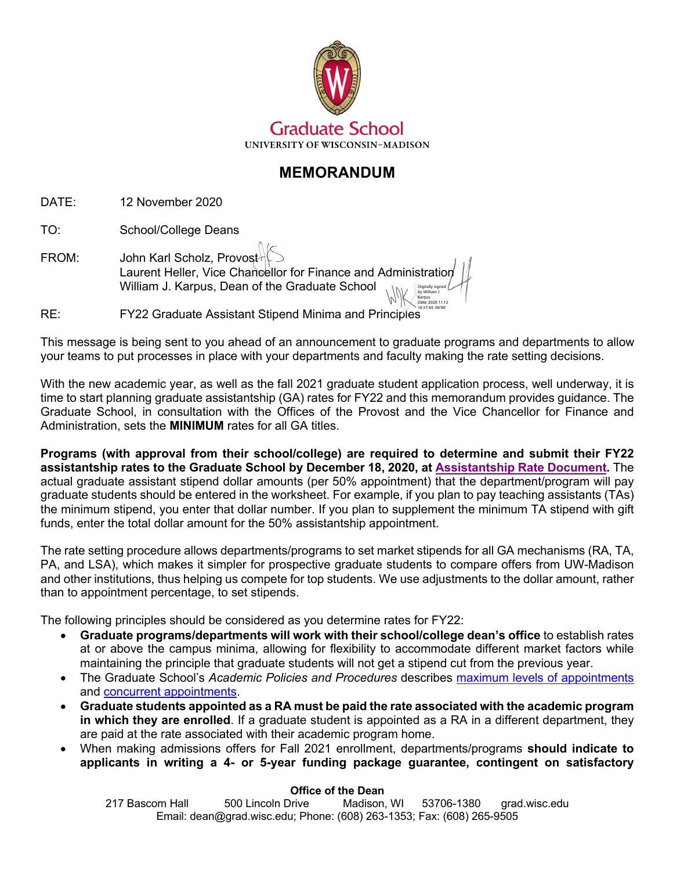

# **MEMORANDUM**

DATE: 12 November 2020

TO: School/College Deans

FROM: John Karl Scholz, Provost Laurent Heller, Vice Chancellor for Finance and Administration William J. Karpus, Dean of the Graduate School Digitally signed by William J Karpus

RE: FY22 Graduate Assistant Stipend Minima and Principles 16:37:44 -06'00'

This message is being sent to you ahead of an announcement to graduate programs and departments to allow your teams to put processes in place with your departments and faculty making the rate setting decisions.

Date: 2020.11.12

With the new academic year, as well as the fall 2021 graduate student application process, well underway, it is time to start planning graduate assistantship (GA) rates for FY22 and this memorandum provides guidance. The Graduate School, in consultation with the Offices of the Provost and the Vice Chancellor for Finance and Administration, sets the **MINIMUM** rates for all GA titles.

**Programs (with approval from their school/college) are required to determine and submit their FY22 assistantship rates to the Graduate School by December 18, 2020, at [Assistantship Rate Document.](https://docs.google.com/forms/d/e/1FAIpQLSc17leYHK9o-mxFOkAuRiU4LTk9bx7kflyljxdjombf_16kZA/viewform)** The actual graduate assistant stipend dollar amounts (per 50% appointment) that the department/program will pay graduate students should be entered in the worksheet. For example, if you plan to pay teaching assistants (TAs) the minimum stipend, you enter that dollar number. If you plan to supplement the minimum TA stipend with gift funds, enter the total dollar amount for the 50% assistantship appointment.

The rate setting procedure allows departments/programs to set market stipends for all GA mechanisms (RA, TA, PA, and LSA), which makes it simpler for prospective graduate students to compare offers from UW-Madison and other institutions, thus helping us compete for top students. We use adjustments to the dollar amount, rather than to appointment percentage, to set stipends.

The following principles should be considered as you determine rates for FY22:

- **Graduate programs/departments will work with their school/college dean's office** to establish rates at or above the campus minima, allowing for flexibility to accommodate different market factors while maintaining the principle that graduate students will not get a stipend cut from the previous year.
- The Graduate School's *Academic Policies and Procedures* describes [maximum levels of appointments](https://grad.wisc.edu/documents/maximum-levels-of-appointments/) and [concurrent appointments](https://grad.wisc.edu/documents/concurrent-appointments/).
- **Graduate students appointed as a RA must be paid the rate associated with the academic program in which they are enrolled**. If a graduate student is appointed as a RA in a different department, they are paid at the rate associated with their academic program home.
- When making admissions offers for Fall 2021 enrollment, departments/programs **should indicate to applicants in writing a 4- or 5-year funding package guarantee, contingent on satisfactory**

#### **Office of the Dean**

217 Bascom Hall 500 Lincoln Drive Madison, WI 53706-1380 grad.wisc.edu Email: dean@grad.wisc.edu; Phone: (608) 263-1353; Fax: (608) 265-9505